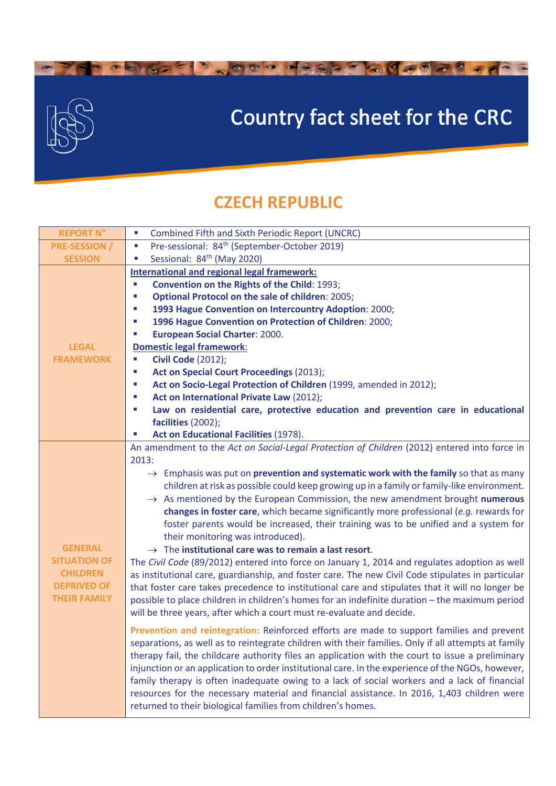

 $\bullet$ 

 $\bullet$   $\bullet$   $\bullet$ 

## Country fact sheet for the CRC

a des sejons de sejons de se

## **CZECH REPUBLIC**

| <b>REPORT N°</b>                                                                                      | <b>Combined Fifth and Sixth Periodic Report (UNCRC)</b><br>$\mathcal{L}_{\mathcal{A}}$                                                                                                                                                                                                                                                                                                                                                                                                                                                                                                                                                                                                                                                                                                                                                                                                                                                                                                                                                                                                                                                                                                                                                                                                                                                                                                          |
|-------------------------------------------------------------------------------------------------------|-------------------------------------------------------------------------------------------------------------------------------------------------------------------------------------------------------------------------------------------------------------------------------------------------------------------------------------------------------------------------------------------------------------------------------------------------------------------------------------------------------------------------------------------------------------------------------------------------------------------------------------------------------------------------------------------------------------------------------------------------------------------------------------------------------------------------------------------------------------------------------------------------------------------------------------------------------------------------------------------------------------------------------------------------------------------------------------------------------------------------------------------------------------------------------------------------------------------------------------------------------------------------------------------------------------------------------------------------------------------------------------------------|
| <b>PRE-SESSION /</b>                                                                                  | Pre-sessional: 84 <sup>th</sup> (September-October 2019)<br>$\mathcal{C}^{\mathcal{A}}$                                                                                                                                                                                                                                                                                                                                                                                                                                                                                                                                                                                                                                                                                                                                                                                                                                                                                                                                                                                                                                                                                                                                                                                                                                                                                                         |
| <b>SESSION</b>                                                                                        | Sessional: 84 <sup>th</sup> (May 2020)<br>$\mathcal{L}_{\mathcal{A}}$                                                                                                                                                                                                                                                                                                                                                                                                                                                                                                                                                                                                                                                                                                                                                                                                                                                                                                                                                                                                                                                                                                                                                                                                                                                                                                                           |
| <b>LEGAL</b><br><b>FRAMEWORK</b>                                                                      | <b>International and regional legal framework:</b><br>Convention on the Rights of the Child: 1993;<br>×,<br><b>Optional Protocol on the sale of children: 2005;</b><br>×,<br>1993 Hague Convention on Intercountry Adoption: 2000;<br>Ш<br>1996 Hague Convention on Protection of Children: 2000;<br>×,<br><b>European Social Charter: 2000.</b><br>T,<br><b>Domestic legal framework:</b><br><b>Civil Code (2012);</b><br>×,<br><b>Act on Special Court Proceedings (2013);</b><br>×,<br>Act on Socio-Legal Protection of Children (1999, amended in 2012);<br>×<br>Act on International Private Law (2012);<br>Law on residential care, protective education and prevention care in educational<br>T,<br>facilities (2002);<br><b>Act on Educational Facilities (1978).</b>                                                                                                                                                                                                                                                                                                                                                                                                                                                                                                                                                                                                                   |
| <b>GENERAL</b><br><b>SITUATION OF</b><br><b>CHILDREN</b><br><b>DEPRIVED OF</b><br><b>THEIR FAMILY</b> | An amendment to the Act on Social-Legal Protection of Children (2012) entered into force in<br>2013:<br>$\rightarrow$ Emphasis was put on <b>prevention and systematic work with the family</b> so that as many<br>children at risk as possible could keep growing up in a family or family-like environment.<br>$\rightarrow$ As mentioned by the European Commission, the new amendment brought numerous<br>changes in foster care, which became significantly more professional (e.g. rewards for<br>foster parents would be increased, their training was to be unified and a system for<br>their monitoring was introduced).<br>$\rightarrow$ The institutional care was to remain a last resort.<br>The Civil Code (89/2012) entered into force on January 1, 2014 and regulates adoption as well<br>as institutional care, guardianship, and foster care. The new Civil Code stipulates in particular<br>that foster care takes precedence to institutional care and stipulates that it will no longer be<br>possible to place children in children's homes for an indefinite duration - the maximum period<br>will be three years, after which a court must re-evaluate and decide.<br>Prevention and reintegration: Reinforced efforts are made to support families and prevent<br>separations, as well as to reintegrate children with their families. Only if all attempts at family |
|                                                                                                       | therapy fail, the childcare authority files an application with the court to issue a preliminary<br>injunction or an application to order institutional care. In the experience of the NGOs, however,<br>family therapy is often inadequate owing to a lack of social workers and a lack of financial<br>resources for the necessary material and financial assistance. In 2016, 1,403 children were<br>returned to their biological families from children's homes.                                                                                                                                                                                                                                                                                                                                                                                                                                                                                                                                                                                                                                                                                                                                                                                                                                                                                                                            |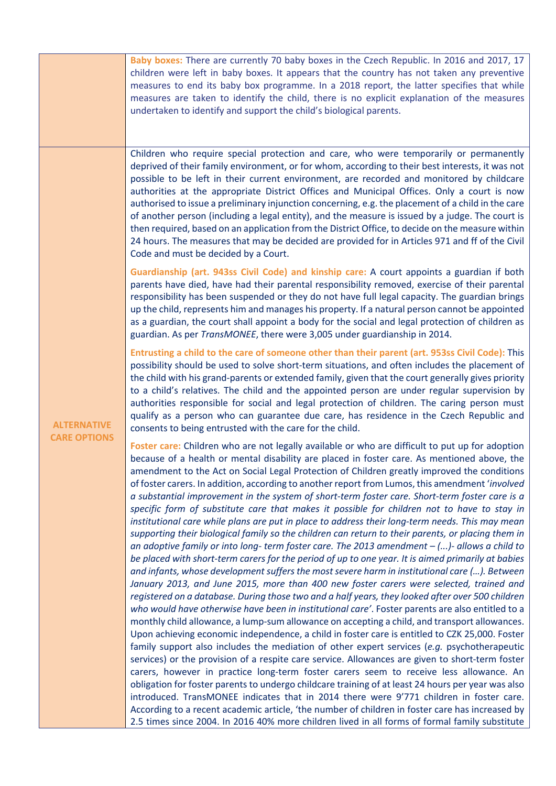|                                           | Baby boxes: There are currently 70 baby boxes in the Czech Republic. In 2016 and 2017, 17<br>children were left in baby boxes. It appears that the country has not taken any preventive<br>measures to end its baby box programme. In a 2018 report, the latter specifies that while<br>measures are taken to identify the child, there is no explicit explanation of the measures<br>undertaken to identify and support the child's biological parents.                                                                                                                                                                                                                                                                                                                                                                                                                                                                                                                                                                                                                                                                                                                                                                                                                                                                                                                                                                                                                                                                                                                                                                                                                                                                                                                                                                                                                                                                                                                                                                                                                                                                                                                                                                                                                                                                     |
|-------------------------------------------|------------------------------------------------------------------------------------------------------------------------------------------------------------------------------------------------------------------------------------------------------------------------------------------------------------------------------------------------------------------------------------------------------------------------------------------------------------------------------------------------------------------------------------------------------------------------------------------------------------------------------------------------------------------------------------------------------------------------------------------------------------------------------------------------------------------------------------------------------------------------------------------------------------------------------------------------------------------------------------------------------------------------------------------------------------------------------------------------------------------------------------------------------------------------------------------------------------------------------------------------------------------------------------------------------------------------------------------------------------------------------------------------------------------------------------------------------------------------------------------------------------------------------------------------------------------------------------------------------------------------------------------------------------------------------------------------------------------------------------------------------------------------------------------------------------------------------------------------------------------------------------------------------------------------------------------------------------------------------------------------------------------------------------------------------------------------------------------------------------------------------------------------------------------------------------------------------------------------------------------------------------------------------------------------------------------------------|
| <b>ALTERNATIVE</b><br><b>CARE OPTIONS</b> | Children who require special protection and care, who were temporarily or permanently<br>deprived of their family environment, or for whom, according to their best interests, it was not<br>possible to be left in their current environment, are recorded and monitored by childcare<br>authorities at the appropriate District Offices and Municipal Offices. Only a court is now<br>authorised to issue a preliminary injunction concerning, e.g. the placement of a child in the care<br>of another person (including a legal entity), and the measure is issued by a judge. The court is<br>then required, based on an application from the District Office, to decide on the measure within<br>24 hours. The measures that may be decided are provided for in Articles 971 and ff of the Civil<br>Code and must be decided by a Court.                                                                                                                                                                                                                                                                                                                                                                                                                                                                                                                                                                                                                                                                                                                                                                                                                                                                                                                                                                                                                                                                                                                                                                                                                                                                                                                                                                                                                                                                                |
|                                           | Guardianship (art. 943ss Civil Code) and kinship care: A court appoints a guardian if both<br>parents have died, have had their parental responsibility removed, exercise of their parental<br>responsibility has been suspended or they do not have full legal capacity. The guardian brings<br>up the child, represents him and manages his property. If a natural person cannot be appointed<br>as a guardian, the court shall appoint a body for the social and legal protection of children as<br>guardian. As per TransMONEE, there were 3,005 under guardianship in 2014.                                                                                                                                                                                                                                                                                                                                                                                                                                                                                                                                                                                                                                                                                                                                                                                                                                                                                                                                                                                                                                                                                                                                                                                                                                                                                                                                                                                                                                                                                                                                                                                                                                                                                                                                             |
|                                           | Entrusting a child to the care of someone other than their parent (art. 953ss Civil Code): This<br>possibility should be used to solve short-term situations, and often includes the placement of<br>the child with his grand-parents or extended family, given that the court generally gives priority<br>to a child's relatives. The child and the appointed person are under regular supervision by<br>authorities responsible for social and legal protection of children. The caring person must<br>qualify as a person who can guarantee due care, has residence in the Czech Republic and<br>consents to being entrusted with the care for the child.                                                                                                                                                                                                                                                                                                                                                                                                                                                                                                                                                                                                                                                                                                                                                                                                                                                                                                                                                                                                                                                                                                                                                                                                                                                                                                                                                                                                                                                                                                                                                                                                                                                                 |
|                                           | Foster care: Children who are not legally available or who are difficult to put up for adoption<br>because of a health or mental disability are placed in foster care. As mentioned above, the<br>amendment to the Act on Social Legal Protection of Children greatly improved the conditions<br>of foster carers. In addition, according to another report from Lumos, this amendment 'involved<br>a substantial improvement in the system of short-term foster care. Short-term foster care is a<br>specific form of substitute care that makes it possible for children not to have to stay in<br>institutional care while plans are put in place to address their long-term needs. This may mean<br>supporting their biological family so the children can return to their parents, or placing them in<br>an adoptive family or into long- term foster care. The 2013 amendment $-$ ()- allows a child to<br>be placed with short-term carers for the period of up to one year. It is aimed primarily at babies<br>and infants, whose development suffers the most severe harm in institutional care (). Between<br>January 2013, and June 2015, more than 400 new foster carers were selected, trained and<br>registered on a database. During those two and a half years, they looked after over 500 children<br>who would have otherwise have been in institutional care'. Foster parents are also entitled to a<br>monthly child allowance, a lump-sum allowance on accepting a child, and transport allowances.<br>Upon achieving economic independence, a child in foster care is entitled to CZK 25,000. Foster<br>family support also includes the mediation of other expert services (e.g. psychotherapeutic<br>services) or the provision of a respite care service. Allowances are given to short-term foster<br>carers, however in practice long-term foster carers seem to receive less allowance. An<br>obligation for foster parents to undergo childcare training of at least 24 hours per year was also<br>introduced. TransMONEE indicates that in 2014 there were 9'771 children in foster care.<br>According to a recent academic article, 'the number of children in foster care has increased by<br>2.5 times since 2004. In 2016 40% more children lived in all forms of formal family substitute |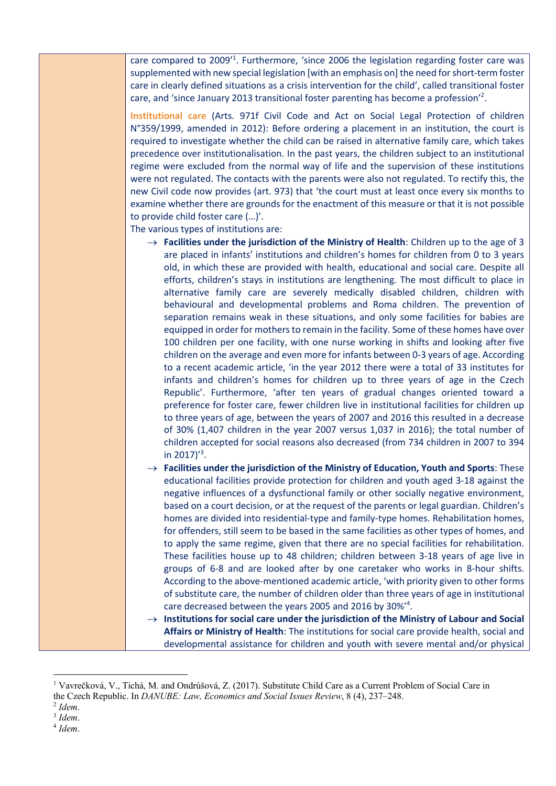care compared to 2009<sup>'1</sup>. Furthermore, 'since 2006 the legislation regarding foster care was supplemented with new special legislation [with an emphasis on] the need for short-term foster care in clearly defined situations as a crisis intervention for the child', called transitional foster care, and 'since January 2013 transitional foster parenting has become a profession'<sup>2</sup>.

**Institutional care** (Arts. 971f Civil Code and Act on Social Legal Protection of children N°359/1999, amended in 2012): Before ordering a placement in an institution, the court is required to investigate whether the child can be raised in alternative family care, which takes precedence over institutionalisation. In the past years, the children subject to an institutional regime were excluded from the normal way of life and the supervision of these institutions were not regulated. The contacts with the parents were also not regulated. To rectify this, the new Civil code now provides (art. 973) that 'the court must at least once every six months to examine whether there are grounds for the enactment of this measure or that it is not possible to provide child foster care (…)'.

The various types of institutions are:

- $\rightarrow$  **Facilities under the jurisdiction of the Ministry of Health**: Children up to the age of 3 are placed in infants' institutions and children's homes for children from 0 to 3 years old, in which these are provided with health, educational and social care. Despite all efforts, children's stays in institutions are lengthening. The most difficult to place in alternative family care are severely medically disabled children, children with behavioural and developmental problems and Roma children. The prevention of separation remains weak in these situations, and only some facilities for babies are equipped in order for mothers to remain in the facility. Some of these homes have over 100 children per one facility, with one nurse working in shifts and looking after five children on the average and even more for infants between 0-3 years of age. According to a recent academic article, 'in the year 2012 there were a total of 33 institutes for infants and children's homes for children up to three years of age in the Czech Republic'. Furthermore, 'after ten years of gradual changes oriented toward a preference for foster care, fewer children live in institutional facilities for children up to three years of age, between the years of 2007 and 2016 this resulted in a decrease of 30% (1,407 children in the year 2007 versus 1,037 in 2016); the total number of children accepted for social reasons also decreased (from 734 children in 2007 to 394 in 2017) $^{\prime}$ <sup>3</sup>.
- $\rightarrow$  **Facilities under the jurisdiction of the Ministry of Education, Youth and Sports**: These educational facilities provide protection for children and youth aged 3-18 against the negative influences of a dysfunctional family or other socially negative environment, based on a court decision, or at the request of the parents or legal guardian. Children's homes are divided into residential-type and family-type homes. Rehabilitation homes, for offenders, still seem to be based in the same facilities as other types of homes, and to apply the same regime, given that there are no special facilities for rehabilitation. These facilities house up to 48 children; children between 3-18 years of age live in groups of 6-8 and are looked after by one caretaker who works in 8-hour shifts. According to the above-mentioned academic article, 'with priority given to other forms of substitute care, the number of children older than three years of age in institutional care decreased between the years 2005 and 2016 by 30%<sup>14</sup>.
- $\rightarrow$  Institutions for social care under the jurisdiction of the Ministry of Labour and Social **Affairs or Ministry of Health**: The institutions for social care provide health, social and developmental assistance for children and youth with severe mental and/or physical

<sup>4</sup> *Idem*.

<sup>&</sup>lt;sup>1</sup> Vavrečková, V., Tichá, M. and Ondrúšová, Z. (2017). Substitute Child Care as a Current Problem of Social Care in the Czech Republic. In *DANUBE: Law, Economics and Social Issues Review*, 8 (4), 237–248.

<sup>2</sup> *Idem*.

<sup>3</sup> *Idem*.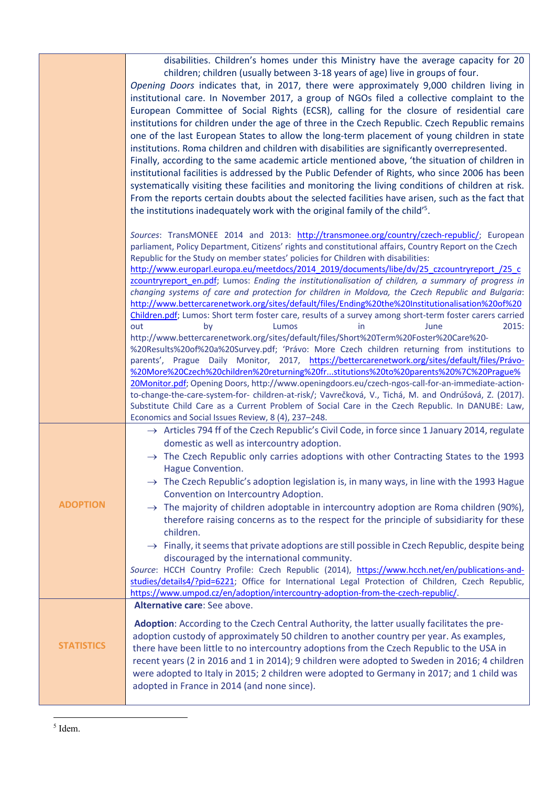|                   | disabilities. Children's homes under this Ministry have the average capacity for 20<br>children; children (usually between 3-18 years of age) live in groups of four.<br>Opening Doors indicates that, in 2017, there were approximately 9,000 children living in<br>institutional care. In November 2017, a group of NGOs filed a collective complaint to the<br>European Committee of Social Rights (ECSR), calling for the closure of residential care<br>institutions for children under the age of three in the Czech Republic. Czech Republic remains<br>one of the last European States to allow the long-term placement of young children in state<br>institutions. Roma children and children with disabilities are significantly overrepresented.<br>Finally, according to the same academic article mentioned above, 'the situation of children in<br>institutional facilities is addressed by the Public Defender of Rights, who since 2006 has been<br>systematically visiting these facilities and monitoring the living conditions of children at risk.<br>From the reports certain doubts about the selected facilities have arisen, such as the fact that<br>the institutions inadequately work with the original family of the child' <sup>5</sup> .                                                                                                                                                                                                                                                                                                |
|-------------------|-----------------------------------------------------------------------------------------------------------------------------------------------------------------------------------------------------------------------------------------------------------------------------------------------------------------------------------------------------------------------------------------------------------------------------------------------------------------------------------------------------------------------------------------------------------------------------------------------------------------------------------------------------------------------------------------------------------------------------------------------------------------------------------------------------------------------------------------------------------------------------------------------------------------------------------------------------------------------------------------------------------------------------------------------------------------------------------------------------------------------------------------------------------------------------------------------------------------------------------------------------------------------------------------------------------------------------------------------------------------------------------------------------------------------------------------------------------------------------------------------------------------------------------------------------------------------|
|                   | Sources: TransMONEE 2014 and 2013: http://transmonee.org/country/czech-republic/; European<br>parliament, Policy Department, Citizens' rights and constitutional affairs, Country Report on the Czech<br>Republic for the Study on member states' policies for Children with disabilities:<br>http://www.europarl.europa.eu/meetdocs/2014_2019/documents/libe/dv/25_czcountryreport_/25_c<br>zcountryreport en.pdf; Lumos: Ending the institutionalisation of children, a summary of progress in<br>changing systems of care and protection for children in Moldova, the Czech Republic and Bulgaria:<br>http://www.bettercarenetwork.org/sites/default/files/Ending%20the%20Institutionalisation%20of%20<br>Children.pdf; Lumos: Short term foster care, results of a survey among short-term foster carers carried<br>2015:<br>out<br>by<br>Lumos<br>in<br>June<br>http://www.bettercarenetwork.org/sites/default/files/Short%20Term%20Foster%20Care%20-<br>%20Results%20of%20a%20Survey.pdf; 'Právo: More Czech children returning from institutions to<br>parents', Prague Daily Monitor, 2017, https://bettercarenetwork.org/sites/default/files/Právo-<br>%20More%20Czech%20children%20returning%20frstitutions%20to%20parents%20%7C%20Prague%<br>20Monitor.pdf; Opening Doors, http://www.openingdoors.eu/czech-ngos-call-for-an-immediate-action-<br>to-change-the-care-system-for-children-at-risk/; Vavrečková, V., Tichá, M. and Ondrúšová, Z. (2017).<br>Substitute Child Care as a Current Problem of Social Care in the Czech Republic. In DANUBE: Law, |
|                   | Economics and Social Issues Review, 8 (4), 237-248.                                                                                                                                                                                                                                                                                                                                                                                                                                                                                                                                                                                                                                                                                                                                                                                                                                                                                                                                                                                                                                                                                                                                                                                                                                                                                                                                                                                                                                                                                                                   |
| <b>ADOPTION</b>   | $\rightarrow$ Articles 794 ff of the Czech Republic's Civil Code, in force since 1 January 2014, regulate<br>domestic as well as intercountry adoption.<br>$\rightarrow$ The Czech Republic only carries adoptions with other Contracting States to the 1993<br>Hague Convention.<br>$\rightarrow$ The Czech Republic's adoption legislation is, in many ways, in line with the 1993 Hague<br>Convention on Intercountry Adoption.<br>$\rightarrow$ The majority of children adoptable in intercountry adoption are Roma children (90%),<br>therefore raising concerns as to the respect for the principle of subsidiarity for these<br>children.<br>$\rightarrow$ Finally, it seems that private adoptions are still possible in Czech Republic, despite being<br>discouraged by the international community.<br>Source: HCCH Country Profile: Czech Republic (2014), https://www.hcch.net/en/publications-and-<br>studies/details4/?pid=6221; Office for International Legal Protection of Children, Czech Republic,<br>https://www.umpod.cz/en/adoption/intercountry-adoption-from-the-czech-republic/.                                                                                                                                                                                                                                                                                                                                                                                                                                                            |
| <b>STATISTICS</b> | Alternative care: See above.<br>Adoption: According to the Czech Central Authority, the latter usually facilitates the pre-<br>adoption custody of approximately 50 children to another country per year. As examples,<br>there have been little to no intercountry adoptions from the Czech Republic to the USA in<br>recent years (2 in 2016 and 1 in 2014); 9 children were adopted to Sweden in 2016; 4 children<br>were adopted to Italy in 2015; 2 children were adopted to Germany in 2017; and 1 child was<br>adopted in France in 2014 (and none since).                                                                                                                                                                                                                                                                                                                                                                                                                                                                                                                                                                                                                                                                                                                                                                                                                                                                                                                                                                                                     |